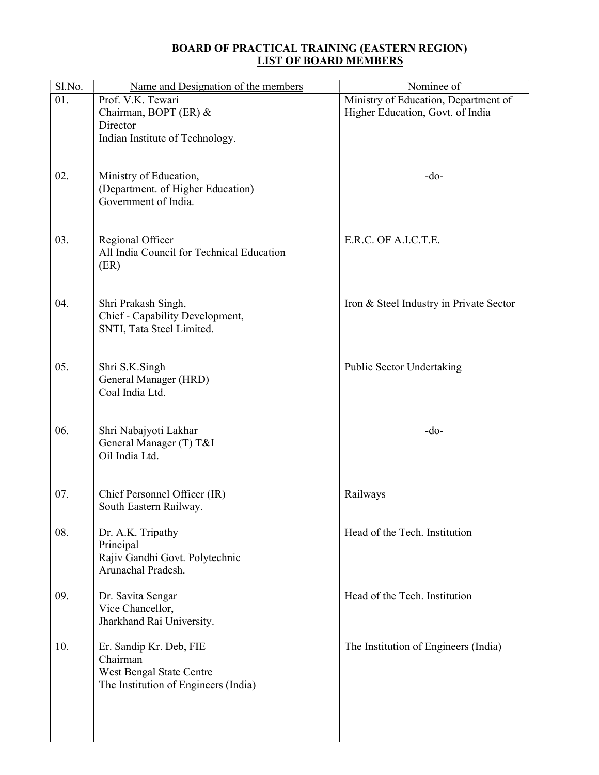## BOARD OF PRACTICAL TRAINING (EASTERN REGION) LIST OF BOARD MEMBERS

| Sl.No. | Name and Designation of the members                  | Nominee of                              |
|--------|------------------------------------------------------|-----------------------------------------|
| 01.    | Prof. V.K. Tewari                                    | Ministry of Education, Department of    |
|        | Chairman, BOPT (ER) &                                | Higher Education, Govt. of India        |
|        | Director                                             |                                         |
|        | Indian Institute of Technology.                      |                                         |
|        |                                                      |                                         |
|        |                                                      |                                         |
| 02.    | Ministry of Education,                               | $-do-$                                  |
|        | (Department. of Higher Education)                    |                                         |
|        | Government of India.                                 |                                         |
|        |                                                      |                                         |
|        |                                                      |                                         |
| 03.    | Regional Officer                                     | E.R.C. OF A.I.C.T.E.                    |
|        | All India Council for Technical Education            |                                         |
|        | (ER)                                                 |                                         |
|        |                                                      |                                         |
|        |                                                      |                                         |
| 04.    | Shri Prakash Singh,                                  | Iron & Steel Industry in Private Sector |
|        | Chief - Capability Development,                      |                                         |
|        | SNTI, Tata Steel Limited.                            |                                         |
|        |                                                      |                                         |
|        |                                                      |                                         |
| 05.    | Shri S.K.Singh                                       | <b>Public Sector Undertaking</b>        |
|        | General Manager (HRD)                                |                                         |
|        | Coal India Ltd.                                      |                                         |
|        |                                                      |                                         |
|        |                                                      |                                         |
| 06.    | Shri Nabajyoti Lakhar                                | $-do-$                                  |
|        | General Manager (T) T&I                              |                                         |
|        | Oil India Ltd.                                       |                                         |
|        |                                                      |                                         |
|        |                                                      |                                         |
| 07.    | Chief Personnel Officer (IR)                         | Railways                                |
|        | South Eastern Railway.                               |                                         |
|        |                                                      |                                         |
| 08.    | Dr. A.K. Tripathy                                    | Head of the Tech. Institution           |
|        | Principal                                            |                                         |
|        | Rajiv Gandhi Govt. Polytechnic<br>Arunachal Pradesh. |                                         |
|        |                                                      |                                         |
| 09.    |                                                      | Head of the Tech. Institution           |
|        | Dr. Savita Sengar<br>Vice Chancellor,                |                                         |
|        | Jharkhand Rai University.                            |                                         |
|        |                                                      |                                         |
| 10.    | Er. Sandip Kr. Deb, FIE                              | The Institution of Engineers (India)    |
|        | Chairman                                             |                                         |
|        | West Bengal State Centre                             |                                         |
|        | The Institution of Engineers (India)                 |                                         |
|        |                                                      |                                         |
|        |                                                      |                                         |
|        |                                                      |                                         |
|        |                                                      |                                         |